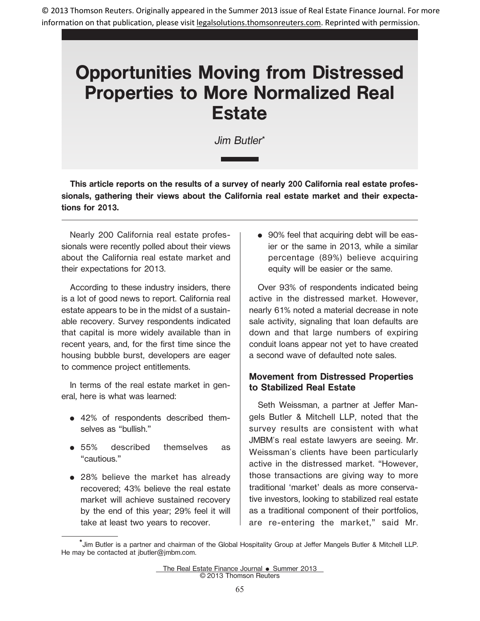© 2013 Thomson Reuters. Originally appeared in the Summer 2013 issue of Real Estate Finance Journal. For more information on that publication, please visit legalsolutions.thomsonreuters.com. Reprinted with permission.

# **Opportunities Moving from Distressed Properties to More Normalized Real Estate**

Jim Butler**\***

**This article reports on the results of a survey of nearly 200 California real estate professionals, gathering their views about the California real estate market and their expectations for 2013.**

Nearly 200 California real estate professionals were recently polled about their views about the California real estate market and their expectations for 2013.

According to these industry insiders, there is a lot of good news to report. California real estate appears to be in the midst of a sustainable recovery. Survey respondents indicated that capital is more widely available than in recent years, and, for the first time since the housing bubble burst, developers are eager to commence project entitlements.

In terms of the real estate market in general, here is what was learned:

- 42% of respondents described themselves as "bullish."
- $•55%$ described themselves as "cautious."
- 28% believe the market has already recovered; 43% believe the real estate market will achieve sustained recovery by the end of this year; 29% feel it will take at least two years to recover.

• 90% feel that acquiring debt will be easier or the same in 2013, while a similar percentage (89%) believe acquiring equity will be easier or the same.

Over 93% of respondents indicated being active in the distressed market. However, nearly 61% noted a material decrease in note sale activity, signaling that loan defaults are down and that large numbers of expiring conduit loans appear not yet to have created a second wave of defaulted note sales.

### **Movement from Distressed Properties to Stabilized Real Estate**

Seth Weissman, a partner at Jeffer Mangels Butler & Mitchell LLP, noted that the survey results are consistent with what JMBM's real estate lawyers are seeing. Mr. Weissman's clients have been particularly active in the distressed market. "However, those transactions are giving way to more traditional 'market' deals as more conservative investors, looking to stabilized real estate as a traditional component of their portfolios, are re-entering the market," said Mr.

<sup>\*</sup>Jim Butler is a partner and chairman of the Global Hospitality Group at Jeffer Mangels Butler & Mitchell LLP. He may be contacted at jbutler@jmbm.com.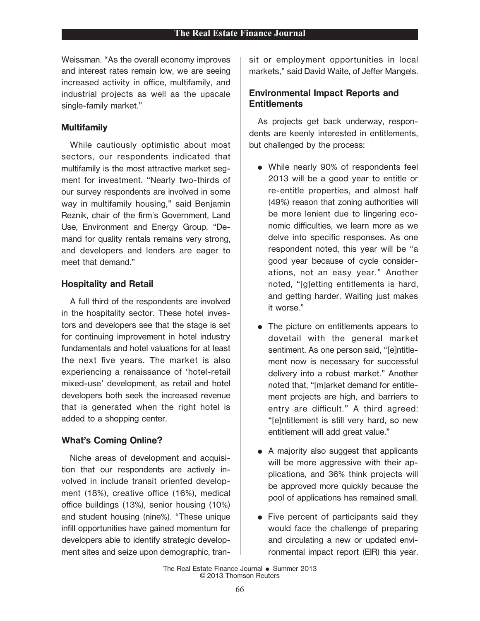Weissman. "As the overall economy improves and interest rates remain low, we are seeing increased activity in office, multifamily, and industrial projects as well as the upscale single-family market."

#### **Multifamily**

While cautiously optimistic about most sectors, our respondents indicated that multifamily is the most attractive market segment for investment. "Nearly two-thirds of our survey respondents are involved in some way in multifamily housing," said Benjamin Reznik, chair of the firm's Government, Land Use, Environment and Energy Group. "Demand for quality rentals remains very strong, and developers and lenders are eager to meet that demand."

#### **Hospitality and Retail**

A full third of the respondents are involved in the hospitality sector. These hotel investors and developers see that the stage is set for continuing improvement in hotel industry fundamentals and hotel valuations for at least the next five years. The market is also experiencing a renaissance of 'hotel-retail mixed-use' development, as retail and hotel developers both seek the increased revenue that is generated when the right hotel is added to a shopping center.

# **What's Coming Online?**

Niche areas of development and acquisition that our respondents are actively involved in include transit oriented development (18%), creative office (16%), medical office buildings (13%), senior housing (10%) and student housing (nine%). "These unique infill opportunities have gained momentum for developers able to identify strategic development sites and seize upon demographic, transit or employment opportunities in local markets," said David Waite, of Jeffer Mangels.

## **Environmental Impact Reports and Entitlements**

As projects get back underway, respondents are keenly interested in entitlements, but challenged by the process:

- E While nearly 90% of respondents feel 2013 will be a good year to entitle or re-entitle properties, and almost half (49%) reason that zoning authorities will be more lenient due to lingering economic difficulties, we learn more as we delve into specific responses. As one respondent noted, this year will be "a good year because of cycle considerations, not an easy year." Another noted, "[g]etting entitlements is hard, and getting harder. Waiting just makes it worse."
- The picture on entitlements appears to dovetail with the general market sentiment. As one person said, "[e]ntitlement now is necessary for successful delivery into a robust market." Another noted that, "[m]arket demand for entitlement projects are high, and barriers to entry are difficult." A third agreed: "[e]ntitlement is still very hard, so new entitlement will add great value."
- A majority also suggest that applicants will be more aggressive with their applications, and 36% think projects will be approved more quickly because the pool of applications has remained small.
- $\bullet$  Five percent of participants said they would face the challenge of preparing and circulating a new or updated environmental impact report (EIR) this year.